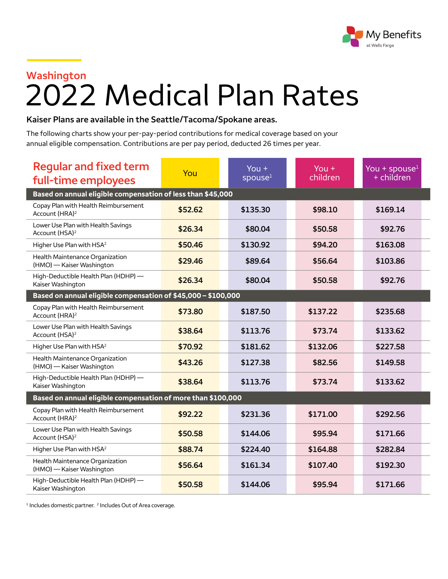

## **Washington**

## 2022 Medical Plan Rates

## **Kaiser Plans are available in the Seattle/Tacoma/Spokane areas.**

The following charts show your per-pay-period contributions for medical coverage based on your annual eligible compensation. Contributions are per pay period, deducted 26 times per year.

| <b>Regular and fixed term</b><br>full-time employees               | You     | You $+$<br>spouse <sup>1</sup> | You $+$<br>children | You + spouse $1$<br>$+$ children |  |  |
|--------------------------------------------------------------------|---------|--------------------------------|---------------------|----------------------------------|--|--|
| Based on annual eligible compensation of less than \$45,000        |         |                                |                     |                                  |  |  |
| Copay Plan with Health Reimbursement<br>Account (HRA) <sup>2</sup> | \$52.62 | \$135.30                       | \$98.10             | \$169.14                         |  |  |
| Lower Use Plan with Health Savings<br>Account (HSA) <sup>2</sup>   | \$26.34 | \$80.04                        | \$50.58             | \$92.76                          |  |  |
| Higher Use Plan with HSA <sup>2</sup>                              | \$50.46 | \$130.92                       | \$94.20             | \$163.08                         |  |  |
| Health Maintenance Organization<br>(HMO) - Kaiser Washington       | \$29.46 | \$89.64                        | \$56.64             | \$103.86                         |  |  |
| High-Deductible Health Plan (HDHP) -<br>Kaiser Washington          | \$26.34 | \$80.04                        | \$50.58             | \$92.76                          |  |  |
| Based on annual eligible compensation of \$45,000 - \$100,000      |         |                                |                     |                                  |  |  |
| Copay Plan with Health Reimbursement<br>Account (HRA) <sup>2</sup> | \$73.80 | \$187.50                       | \$137.22            | \$235.68                         |  |  |
| Lower Use Plan with Health Savings<br>Account (HSA) <sup>2</sup>   | \$38.64 | \$113.76                       | \$73.74             | \$133.62                         |  |  |
| Higher Use Plan with HSA <sup>2</sup>                              | \$70.92 | \$181.62                       | \$132.06            | \$227.58                         |  |  |
| Health Maintenance Organization<br>(HMO) - Kaiser Washington       | \$43.26 | \$127.38                       | \$82.56             | \$149.58                         |  |  |
| High-Deductible Health Plan (HDHP) -<br>Kaiser Washington          | \$38.64 | \$113.76                       | \$73.74             | \$133.62                         |  |  |
| Based on annual eligible compensation of more than \$100,000       |         |                                |                     |                                  |  |  |
| Copay Plan with Health Reimbursement<br>Account (HRA) <sup>2</sup> | \$92.22 | \$231.36                       | \$171.00            | \$292.56                         |  |  |
| Lower Use Plan with Health Savings<br>Account (HSA) <sup>2</sup>   | \$50.58 | \$144.06                       | \$95.94             | \$171.66                         |  |  |
| Higher Use Plan with HSA <sup>2</sup>                              | \$88.74 | \$224.40                       | \$164.88            | \$282.84                         |  |  |
| Health Maintenance Organization<br>(HMO) - Kaiser Washington       | \$56.64 | \$161.34                       | \$107.40            | \$192.30                         |  |  |
| High-Deductible Health Plan (HDHP) -<br>Kaiser Washington          | \$50.58 | \$144.06                       | \$95.94             | \$171.66                         |  |  |

<sup>1</sup> Includes domestic partner. <sup>2</sup> Includes Out of Area coverage.